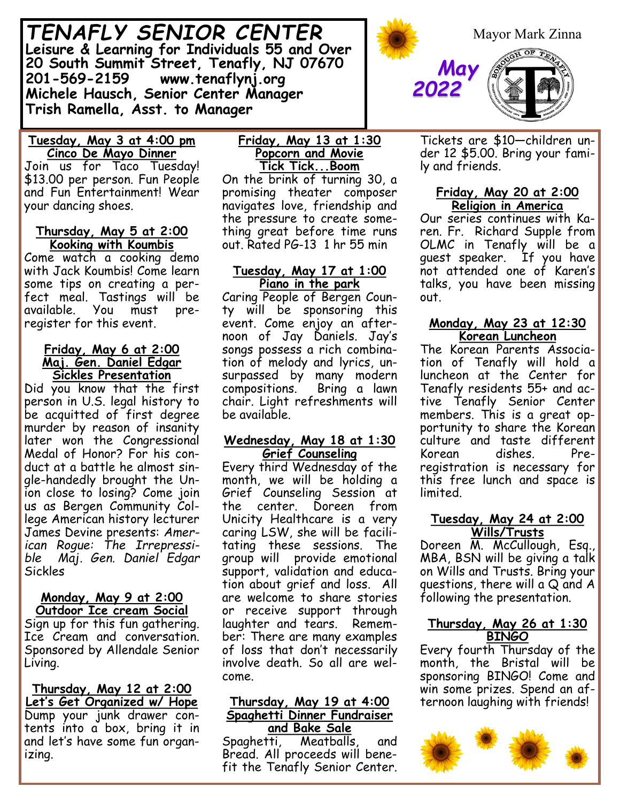*TENAFLY SENIOR CENTER* **Leisure & Learning for Individuals 55 and Over 20 South Summit Street, Tenafly, NJ 07670 201-569-2159 www.tenaflynj.org Michele Hausch, Senior Center Manager Trish Ramella, Asst. to Manager**



Join us for Taco Tuesday! \$13.00 per person. Fun People and Fun Entertainment! Wear your dancing shoes.

#### **Thursday, May 5 at 2:00 Kooking with Koumbis**

Come watch a cooking demo with Jack Koumbis! Come learn some tips on creating a perfect meal. Tastings will be available. You must preregister for this event.

#### **Friday, May 6 at 2:00 Maj. Gen. Daniel Edgar Sickles Presentation**

Did you know that the first person in U.S. legal history to be acquitted of first degree murder by reason of insanity later won the Congressional Medal of Honor? For his conduct at a battle he almost single-handedly brought the Union close to losing? Come join us as Bergen Community College American history lecturer James Devine presents: *American Rogue: The Irrepressible Maj. Gen. Daniel Edgar* Sickles

#### **Monday, May 9 at 2:00 Outdoor Ice cream Social**

Sign up for this fun gathering. Ice Cream and conversation. Sponsored by Allendale Senior Living.

**Thursday, May 12 at 2:00 Let's Get Organized w/ Hope** Dump your junk drawer contents into a box, bring it in and let's have some fun organizing.

#### **Friday, May 13 at 1:30 Popcorn and Movie Tick Tick...Boom**

On the brink of turning 30, a promising theater composer navigates love, friendship and the pressure to create something great before time runs out. Rated PG-13 1 hr 55 min

### **Tuesday, May 17 at 1:00 Piano in the park**

Caring People of Bergen County will be sponsoring this event. Come enjoy an afternoon of Jay Daniels. Jay's songs possess a rich combination of melody and lyrics, unsurpassed by many modern compositions. Bring a lawn chair. Light refreshments will be available.

### **Wednesday, May 18 at 1:30 Grief Counseling**

Every third Wednesday of the month, we will be holding a Grief Counseling Session at the center. Doreen from Unicity Healthcare is a very caring LSW, she will be facilitating these sessions. The group will provide emotional support, validation and education about grief and loss. All are welcome to share stories or receive support through laughter and tears. Remember: There are many examples of loss that don't necessarily involve death. So all are welcome.

#### **Thursday, May 19 at 4:00 Spaghetti Dinner Fundraiser and Bake Sale**

Spaghetti, Meatballs, and Bread. All proceeds will benefit the Tenafly Senior Center.



Tickets are \$10—children under 12 \$5.00. Bring your family and friends.

## **Friday, May 20 at 2:00 Religion in America**

Our series continues with Karen. Fr. Richard Supple from OLMC in Tenafly will be a guest speaker. If you have not attended one of Karen's talks, you have been missing out.

## **Monday, May 23 at 12:30 Korean Luncheon**

The Korean Parents Association of Tenafly will hold a luncheon at the Center for Tenafly residents 55+ and active Tenafly Senior Center members. This is a great opportunity to share the Korean culture and taste different Korean dishes. Preregistration is necessary for this free lunch and space is limited.

#### **Tuesday, May 24 at 2:00 Wills/Trusts**

Doreen M. McCullough, Esq., MBA, BSN will be giving a talk on Wills and Trusts. Bring your questions, there will a Q and A following the presentation.

## **Thursday, May 26 at 1:30 BINGO**

Every fourth Thursday of the month, the Bristal will be sponsoring BINGO! Come and win some prizes. Spend an afternoon laughing with friends!

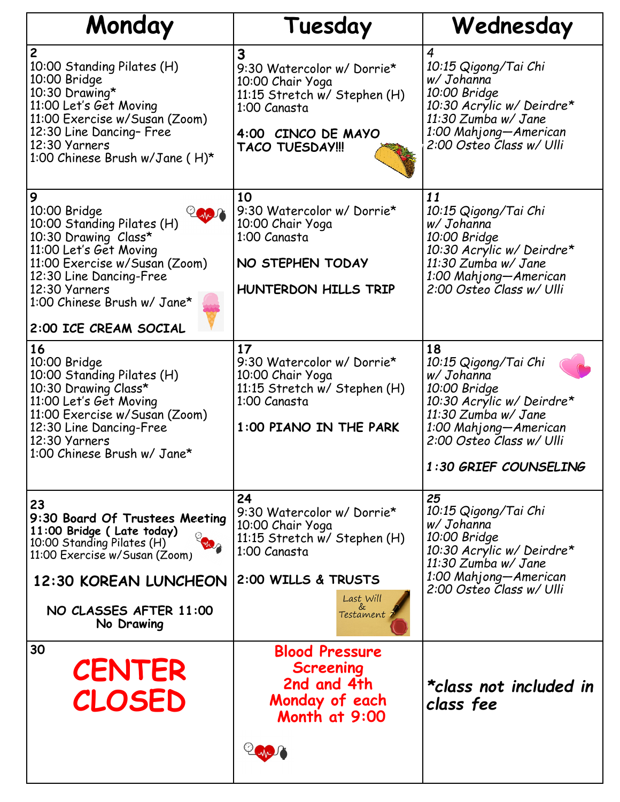| Monday                                                                                                                                                                                                                                 | Tuesday                                                                                                                                               | Wednesday                                                                                                                                                                                  |
|----------------------------------------------------------------------------------------------------------------------------------------------------------------------------------------------------------------------------------------|-------------------------------------------------------------------------------------------------------------------------------------------------------|--------------------------------------------------------------------------------------------------------------------------------------------------------------------------------------------|
| $\overline{c}$<br>10:00 Standing Pilates (H)<br>10:00 Bridge<br>10:30 Drawing*<br>11:00 Let's Get Moving<br>11:00 Exercise w/Susan (Zoom)<br>12:30 Line Dancing- Free<br>12:30 Yarners<br>1:00 Chinese Brush w/Jane (H)*               | 3<br>9:30 Watercolor w/ Dorrie*<br>10:00 Chair Yoga<br>11:15 Stretch w/ Stephen (H)<br>1:00 Canasta<br>4:00 CINCO DE MAYO<br><b>TACO TUESDAY!!!</b>   | 4<br>10:15 Qigong/Tai Chi<br>w/ Johanna<br>10:00 Bridge<br>10:30 Acrylic w/ Deirdre*<br>11:30 Zumba w/ Jane<br>1:00 Mahjong-American<br>2:00 Osteo Class w/ Ulli                           |
| 9<br>10:00 Bridge<br>10:00 Standing Pilates (H)<br>10:30 Drawing Class*<br>11:00 Let's Get Moving<br>11:00 Exercise w/Susan (Zoom)<br>12:30 Line Dancing-Free<br>12:30 Yarners<br>1:00 Chinese Brush w/ Jane*<br>2:00 ICE CREAM SOCIAL | 10<br>9:30 Watercolor w/ Dorrie*<br>10:00 Chair Yoga<br>1:00 Canasta<br>NO STEPHEN TODAY<br>HUNTERDON HILLS TRIP                                      | 11<br>10:15 Qigong/Tai Chi<br>w/ Johanna<br>10:00 Bridge<br>10:30 Acrylic w/ Deirdre*<br>11:30 Zumba w/ Jane<br>1:00 Mahjong-American<br>2:00 Osteo Class w/ Ulli                          |
| 16<br>10:00 Bridge<br>10:00 Standing Pilates (H)<br>10:30 Drawing Class*<br>11:00 Let's Get Moving<br>11:00 Exercise w/Susan (Zoom)<br>12:30 Line Dancing-Free<br>12:30 Yarners<br>1:00 Chinese Brush w/ Jane*                         | 17<br>9:30 Watercolor w/ Dorrie*<br>10:00 Chair Yoga<br>11:15 Stretch w/ Stephen (H)<br>1:00 Canasta<br>1:00 PIANO IN THE PARK                        | 18<br>10:15 Qigong/Tai Chi<br>w/ Johanna<br>10:00 Bridge<br>10:30 Acrylic w/ Deirdre*<br>11:30 Zumba w/ Jane<br>1:00 Mahjong-American<br>2:00 Osteo Class w/ Ulli<br>1:30 GRIEF COUNSELING |
| 23<br>9:30 Board Of Trustees Meeting<br>11:00 Bridge ( Late today)<br>10:00 Standing Pilates (H)<br>11:00 Exercise w/Susan (Zoom)<br>12:30 KOREAN LUNCHEON<br>NO CLASSES AFTER 11:00<br>No Drawing                                     | 24<br>9:30 Watercolor w/ Dorrie*<br>10:00 Chair Yoga<br>11:15 Stretch w/ Stephen (H)<br>1:00 Canasta<br>2:00 WILLS & TRUSTS<br>Last Will<br>Testament | 25<br>10:15 Qigong/Tai Chi<br>w/ Johanna<br>10:00 Bridge<br>10:30 Acrylic w/ Deirdre*<br>11:30 Zumba w/ Jane<br>1:00 Mahjong-American<br>2:00 Osteo Class w/ Ulli                          |
| 30<br><b>CENTER</b><br><b>CLOSED</b>                                                                                                                                                                                                   | <b>Blood Pressure</b><br><b>Screening</b><br>2nd and 4th<br>Monday of each<br>Month at 9:00                                                           | *class not included in<br>class fee                                                                                                                                                        |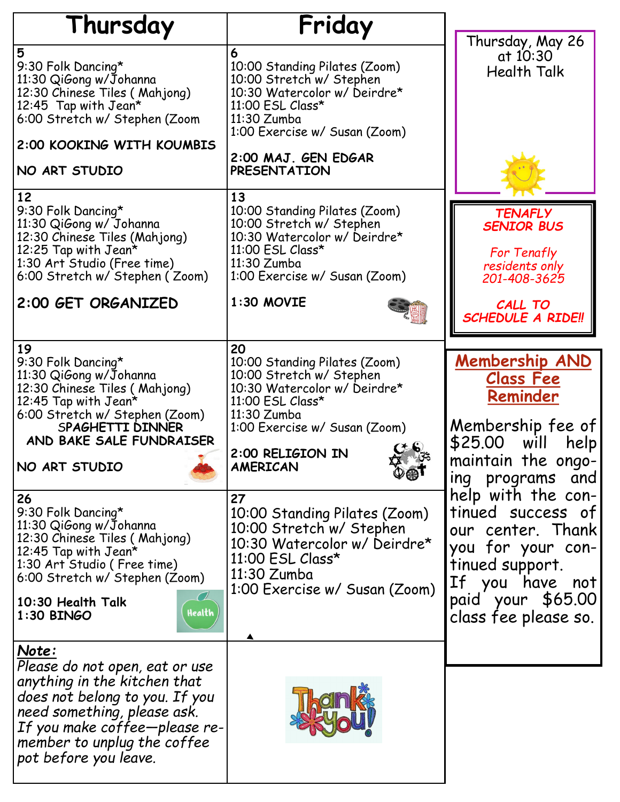| Thursday                                                                                                                                                                                                                           | Friday                                                                                                                                                                                                                     |                                                                                                                                                                      |
|------------------------------------------------------------------------------------------------------------------------------------------------------------------------------------------------------------------------------------|----------------------------------------------------------------------------------------------------------------------------------------------------------------------------------------------------------------------------|----------------------------------------------------------------------------------------------------------------------------------------------------------------------|
| 5<br>9:30 Folk Dancing*<br>11:30 QiGong w/Johanna<br>12:30 Chinese Tiles (Mahjong)<br>12:45 Tap with Jean*<br>6:00 Stretch w/ Stephen (Zoom<br>2:00 KOOKING WITH KOUMBIS<br>NO ART STUDIO                                          | 6<br>10:00 Standing Pilates (Zoom)<br>10:00 Stretch w/ Stephen<br>10:30 Watercolor w/ Deirdre*<br>11:00 ESL Class*<br>11:30 Zumba<br>1:00 Exercise w/ Susan (Zoom)<br>2:00 MAJ. GEN EDGAR<br><b>PRESENTATION</b>           | Thursday, May 26<br>at 10:30<br><b>Health Talk</b>                                                                                                                   |
| 12<br>9:30 Folk Dancing*<br>11:30 QiGong w/ Johanna<br>12:30 Chinese Tiles (Mahjong)<br>12:25 Tap with $Jean*$<br>1:30 Art Studio (Free time)<br>6:00 Stretch w/ Stephen (Zoom)<br>2:00 GET ORGANIZED                              | 13<br>10:00 Standing Pilates (Zoom)<br>10:00 Stretch w/ Stephen<br>10:30 Watercolor w/ Deirdre*<br>11:00 ESL Class*<br>11:30 Zumba<br>1:00 Exercise w/ Susan (Zoom)<br>1:30 MOVIE                                          | <b>TENAFLY</b><br><b>SENIOR BUS</b><br>For Tenafly<br>residents only<br>201-408-3625<br>CALL TO<br><b>SCHEDULE A RIDE!!</b>                                          |
| 19<br>9:30 Folk Dancing*<br>11:30 QiGong w/Johanna<br>12:30 Chinese Tiles (Mahjong)<br>12:45 Tap with Jean*<br>6:00 Stretch w/ Stephen (Zoom)<br>SPAGHETTI DINNER<br>AND BAKE SALE FUNDRAISER<br>NO ART STUDIO                     | 20<br>10:00 Standing Pilates (Zoom)<br>10:00 Stretch w/ Stephen<br>10:30 Watercolor w/ Deirdre*<br>11:00 ESL Class*<br>11:30 Zumba<br>1:00 Exercise w/ Susan (Zoom)<br>2:00 RELIGION IN<br><b>AMERICAN</b><br>$\mathbb{Q}$ | <b>Membership AND</b><br><b>Class Fee</b><br>Reminder<br>Membership fee of<br>will<br>\$25.00<br>help<br>maintain the ongo-<br>ing programs and                      |
| 26<br>9:30 Folk Dancing*<br>11:30 QiGong w/Johanna<br>12:30 Chinese Tiles (Mahjong)<br>12:45 Tap with $Jean^{\star}$<br>1:30 Art Studio (Free time)<br>6:00 Stretch w/ Stephen (Zoom)<br>10:30 Health Talk<br>Health<br>1:30 BINGO | 27<br>10:00 Standing Pilates (Zoom)<br>10:00 Stretch w/ Stephen<br>10:30 Watercolor w/ Deirdre*<br>11:00 ESL Class*<br>11:30 Zumba<br>1:00 Exercise w/ Susan (Zoom)                                                        | help with the con-<br>tinued success of<br>our center. Thank<br>you for your con-<br>tinued support.<br>If you have not<br>paid your \$65.00<br>class fee please so. |
| Note:<br>Please do not open, eat or use<br>anything in the kitchen that<br>does not belong to you. If you<br>need something, please ask.<br>If you make coffee-please re-<br>member to unplug the coffee<br>pot before you leave.  |                                                                                                                                                                                                                            |                                                                                                                                                                      |